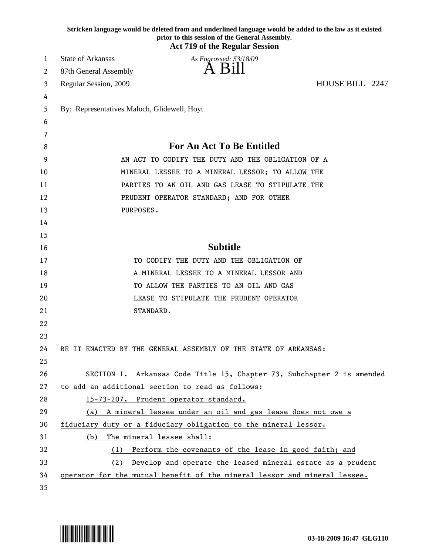|    |                                                                 | Stricken language would be deleted from and underlined language would be added to the law as it existed<br>prior to this session of the General Assembly.<br><b>Act 719 of the Regular Session</b> |
|----|-----------------------------------------------------------------|----------------------------------------------------------------------------------------------------------------------------------------------------------------------------------------------------|
| 1  | <b>State of Arkansas</b>                                        | As Engrossed: S3/18/09                                                                                                                                                                             |
| 2  | 87th General Assembly                                           |                                                                                                                                                                                                    |
| 3  | Regular Session, 2009                                           | HOUSE BILL 2247                                                                                                                                                                                    |
| 4  |                                                                 |                                                                                                                                                                                                    |
| 5  | By: Representatives Maloch, Glidewell, Hoyt                     |                                                                                                                                                                                                    |
| 6  |                                                                 |                                                                                                                                                                                                    |
| 7  |                                                                 |                                                                                                                                                                                                    |
| 8  | <b>For An Act To Be Entitled</b>                                |                                                                                                                                                                                                    |
| 9  |                                                                 | AN ACT TO CODIFY THE DUTY AND THE OBLIGATION OF A                                                                                                                                                  |
| 10 |                                                                 | MINERAL LESSEE TO A MINERAL LESSOR; TO ALLOW THE                                                                                                                                                   |
| 11 |                                                                 | PARTIES TO AN OIL AND GAS LEASE TO STIPULATE THE                                                                                                                                                   |
| 12 |                                                                 | PRUDENT OPERATOR STANDARD; AND FOR OTHER                                                                                                                                                           |
| 13 | PURPOSES.                                                       |                                                                                                                                                                                                    |
| 14 |                                                                 |                                                                                                                                                                                                    |
| 15 |                                                                 |                                                                                                                                                                                                    |
| 16 |                                                                 | <b>Subtitle</b>                                                                                                                                                                                    |
| 17 |                                                                 | TO CODIFY THE DUTY AND THE OBLIGATION OF                                                                                                                                                           |
| 18 |                                                                 | A MINERAL LESSEE TO A MINERAL LESSOR AND                                                                                                                                                           |
| 19 |                                                                 | TO ALLOW THE PARTIES TO AN OIL AND GAS                                                                                                                                                             |
| 20 |                                                                 | LEASE TO STIPULATE THE PRUDENT OPERATOR                                                                                                                                                            |
| 21 | STANDARD.                                                       |                                                                                                                                                                                                    |
| 22 |                                                                 |                                                                                                                                                                                                    |
| 23 |                                                                 |                                                                                                                                                                                                    |
| 24 | BE IT ENACTED BY THE GENERAL ASSEMBLY OF THE STATE OF ARKANSAS: |                                                                                                                                                                                                    |
| 25 |                                                                 |                                                                                                                                                                                                    |
| 26 |                                                                 | SECTION 1. Arkansas Code Title 15, Chapter 73, Subchapter 2 is amended                                                                                                                             |
| 27 | to add an additional section to read as follows:                |                                                                                                                                                                                                    |
| 28 | 15-73-207. Prudent operator standard.                           |                                                                                                                                                                                                    |
| 29 | (a)                                                             | A mineral lessee under an oil and gas lease does not owe a                                                                                                                                         |
| 30 | fiduciary duty or a fiduciary obligation to the mineral lessor. |                                                                                                                                                                                                    |
| 31 | The mineral lessee shall:<br>(b)                                |                                                                                                                                                                                                    |
| 32 | (1)                                                             | Perform the covenants of the lease in good faith; and                                                                                                                                              |
| 33 | (2)                                                             | Develop and operate the leased mineral estate as a prudent                                                                                                                                         |
| 34 |                                                                 | operator for the mutual benefit of the mineral lessor and mineral lessee.                                                                                                                          |
| 35 |                                                                 |                                                                                                                                                                                                    |